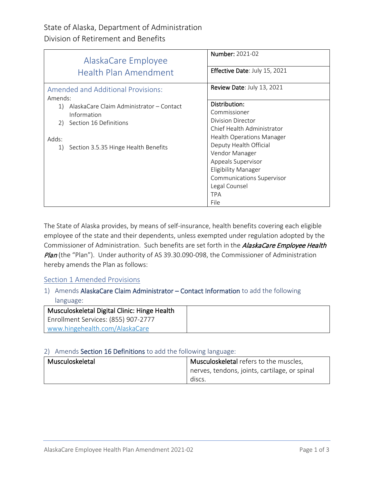| AlaskaCare Employee                                  | <b>Number: 2021-02</b>               |
|------------------------------------------------------|--------------------------------------|
| <b>Health Plan Amendment</b>                         | <b>Effective Date: July 15, 2021</b> |
| <b>Amended and Additional Provisions:</b><br>Amends: | Review Date: July 13, 2021           |
| AlaskaCare Claim Administrator – Contact<br>1)       | Distribution:                        |
| Information                                          | Commissioner                         |
| Section 16 Definitions<br>2)                         | <b>Division Director</b>             |
|                                                      | Chief Health Administrator           |
| Adds:                                                | <b>Health Operations Manager</b>     |
| Section 3.5.35 Hinge Health Benefits<br>1)           | Deputy Health Official               |
|                                                      | Vendor Manager                       |
|                                                      | Appeals Supervisor                   |
|                                                      | Eligibility Manager                  |
|                                                      | <b>Communications Supervisor</b>     |
|                                                      | Legal Counsel                        |
|                                                      | <b>TPA</b>                           |
|                                                      | File                                 |

The State of Alaska provides, by means of self-insurance, health benefits covering each eligible employee of the state and their dependents, unless exempted under regulation adopted by the Commissioner of Administration. Such benefits are set forth in the *AlaskaCare Employee Health* Plan (the "Plan"). Under authority of AS 39.30.090-098, the Commissioner of Administration hereby amends the Plan as follows:

## Section 1 Amended Provisions

1) Amends AlaskaCare Claim Administrator – Contact Information to add the following language:

| Musculoskeletal Digital Clinic: Hinge Health |
|----------------------------------------------|
| Enrollment Services: (855) 907-2777          |
| www.hingehealth.com/AlaskaCare               |

## 2) Amends Section 16 Definitions to add the following language:

| Musculoskeletal | Musculoskeletal refers to the muscles,        |
|-----------------|-----------------------------------------------|
|                 | nerves, tendons, joints, cartilage, or spinal |
|                 | discs.                                        |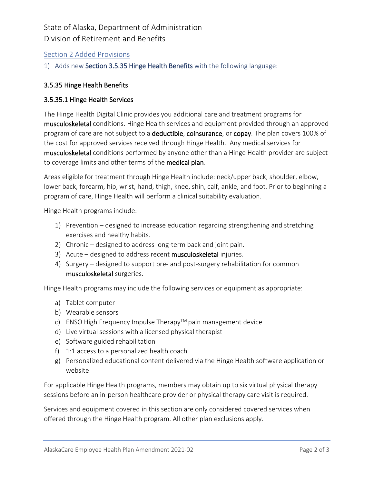# State of Alaska, Department of Administration Division of Retirement and Benefits

# Section 2 Added Provisions

1) Adds new Section 3.5.35 Hinge Health Benefits with the following language:

#### 3.5.35 Hinge Health Benefits

#### 3.5.35.1 Hinge Health Services

The Hinge Health Digital Clinic provides you additional care and treatment programs for musculoskeletal conditions. Hinge Health services and equipment provided through an approved program of care are not subject to a deductible, coinsurance, or copay. The plan covers 100% of the cost for approved services received through Hinge Health. Any medical services for musculoskeletal conditions performed by anyone other than a Hinge Health provider are subject to coverage limits and other terms of the medical plan.

Areas eligible for treatment through Hinge Health include: neck/upper back, shoulder, elbow, lower back, forearm, hip, wrist, hand, thigh, knee, shin, calf, ankle, and foot. Prior to beginning a program of care, Hinge Health will perform a clinical suitability evaluation.

Hinge Health programs include:

- 1) Prevention designed to increase education regarding strengthening and stretching exercises and healthy habits.
- 2) Chronic designed to address long-term back and joint pain.
- 3) Acute designed to address recent musculoskeletal injuries.
- 4) Surgery designed to support pre- and post-surgery rehabilitation for common musculoskeletal surgeries.

Hinge Health programs may include the following services or equipment as appropriate:

- a) Tablet computer
- b) Wearable sensors
- c) ENSO High Frequency Impulse Therapy<sup>TM</sup> pain management device
- d) Live virtual sessions with a licensed physical therapist
- e) Software guided rehabilitation
- f) 1:1 access to a personalized health coach
- g) Personalized educational content delivered via the Hinge Health software application or website

For applicable Hinge Health programs, members may obtain up to six virtual physical therapy sessions before an in-person healthcare provider or physical therapy care visit is required.

Services and equipment covered in this section are only considered covered services when offered through the Hinge Health program. All other plan exclusions apply.